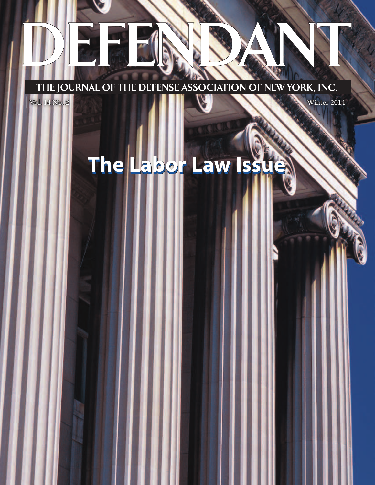THE JOURNAL OF THE DEFENSE ASSOCIATION OF NEW YORK, INC.

Vol. 14 No. 2 Winter 2014

**The Labor Law Issue The Labor Law Issue**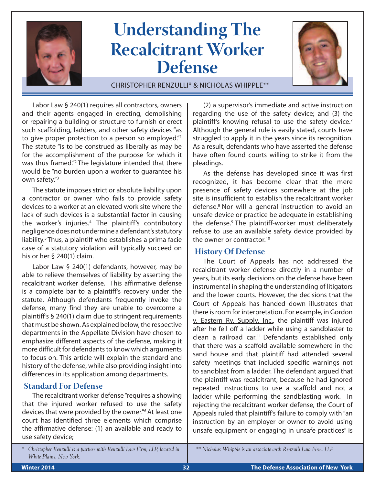

# **Understanding The Recalcitrant Worker Defense**



Christopher Renzulli\* & Nicholas Whipple\*\*

Labor Law § 240(1) requires all contractors, owners and their agents engaged in erecting, demolishing or repairing a building or structure to furnish or erect such scaffolding, ladders, and other safety devices "as to give proper protection to a person so employed."<sup>1</sup> The statute "is to be construed as liberally as may be for the accomplishment of the purpose for which it was thus framed."2 The legislature intended that there would be "no burden upon a worker to guarantee his own safety."3

The statute imposes strict or absolute liability upon a contractor or owner who fails to provide safety devices to a worker at an elevated work site where the lack of such devices is a substantial factor in causing the worker's injuries.4 The plaintiff's contributory negligence does not undermine a defendant's statutory liability.<sup>5</sup> Thus, a plaintiff who establishes a prima facie case of a statutory violation will typically succeed on his or her § 240(1) claim.

Labor Law § 240(1) defendants, however, may be able to relieve themselves of liability by asserting the recalcitrant worker defense. This affirmative defense is a complete bar to a plaintiff's recovery under the statute. Although defendants frequently invoke the defense, many find they are unable to overcome a plaintiff's § 240(1) claim due to stringent requirements that must be shown. As explained below, the respective departments in the Appellate Division have chosen to emphasize different aspects of the defense, making it more difficult for defendants to know which arguments to focus on. This article will explain the standard and history of the defense, while also providing insight into differences in its application among departments.

### **Standard For Defense**

The recalcitrant worker defense "requires a showing that the injured worker refused to use the safety devices that were provided by the owner."6 At least one court has identified three elements which comprise the affirmative defense: (1) an available and ready to use safety device;

(2) a supervisor's immediate and active instruction regarding the use of the safety device; and (3) the plaintiff's knowing refusal to use the safety device.<sup>7</sup> Although the general rule is easily stated, courts have struggled to apply it in the years since its recognition. As a result, defendants who have asserted the defense have often found courts willing to strike it from the pleadings.

As the defense has developed since it was first recognized, it has become clear that the mere presence of safety devices somewhere at the job site is insufficient to establish the recalcitrant worker defense.8 Nor will a general instruction to avoid an unsafe device or practice be adequate in establishing the defense.<sup>9</sup> The plaintiff-worker must deliberately refuse to use an available safety device provided by the owner or contractor.<sup>10</sup>

### **History Of Defense**

The Court of Appeals has not addressed the recalcitrant worker defense directly in a number of years, but its early decisions on the defense have been instrumental in shaping the understanding of litigators and the lower courts. However, the decisions that the Court of Appeals has handed down illustrates that there is room for interpretation. For example, in Gordon v. Eastern Ry. Supply, Inc., the plaintiff was injured after he fell off a ladder while using a sandblaster to clean a railroad car.<sup>11</sup> Defendants established only that there was a scaffold available somewhere in the sand house and that plaintiff had attended several safety meetings that included specific warnings not to sandblast from a ladder. The defendant argued that the plaintiff was recalcitrant, because he had ignored repeated instructions to use a scaffold and not a ladder while performing the sandblasting work. In rejecting the recalcitrant worker defense, the Court of Appeals ruled that plaintiff's failure to comply with "an instruction by an employer or owner to avoid using unsafe equipment or engaging in unsafe practices" is

*\*\* Nicholas Whipple is an associate with Renzulli Law Firm, LLP*

*<sup>\*</sup> Christopher Renzulli is a partner with Renzulli Law Firm, LLP, located in White Plains, New York.*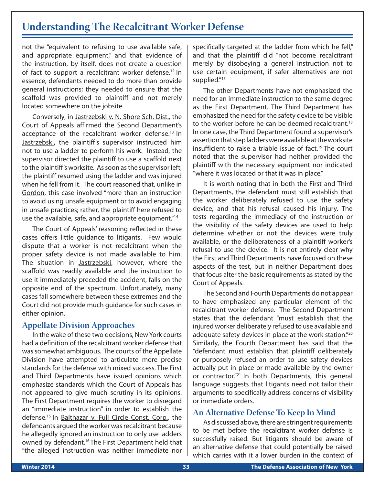# **Understanding The Recalcitrant Worker Defense**

not the "equivalent to refusing to use available safe, and appropriate equipment," and that evidence of the instruction, by itself, does not create a question of fact to support a recalcitrant worker defense.<sup>12</sup> In essence, defendants needed to do more than provide general instructions; they needed to ensure that the scaffold was provided to plaintiff and not merely located somewhere on the jobsite.

Conversely, in Jastrzebski v. N. Shore Sch. Dist., the Court of Appeals affirmed the Second Department's acceptance of the recalcitrant worker defense.<sup>13</sup> In Jastrzebski, the plaintiff's supervisor instructed him not to use a ladder to perform his work. Instead, the supervisor directed the plaintiff to use a scaffold next to the plaintiff's worksite. As soon as the supervisor left, the plaintiff resumed using the ladder and was injured when he fell from it. The court reasoned that, unlike in Gordon, this case involved "more than an instruction to avoid using unsafe equipment or to avoid engaging in unsafe practices; rather, the plaintiff here refused to use the available, safe, and appropriate equipment."14

The Court of Appeals' reasoning reflected in these cases offers little guidance to litigants. Few would dispute that a worker is not recalcitrant when the proper safety device is not made available to him. The situation in Jastrzebski, however, where the scaffold was readily available and the instruction to use it immediately preceded the accident, falls on the opposite end of the spectrum. Unfortunately, many cases fall somewhere between these extremes and the Court did not provide much guidance for such cases in either opinion.

#### **Appellate Division Approaches**

In the wake of these two decisions, New York courts had a definition of the recalcitrant worker defense that was somewhat ambiguous. The courts of the Appellate Division have attempted to articulate more precise standards for the defense with mixed success. The First and Third Departments have issued opinions which emphasize standards which the Court of Appeals has not appeared to give much scrutiny in its opinions. The First Department requires the worker to disregard an "immediate instruction" in order to establish the defense.15 In Balthazar v. Full Circle Const. Corp., the defendants argued the worker was recalcitrant because he allegedly ignored an instruction to only use ladders owned by defendant.<sup>16</sup> The First Department held that "the alleged instruction was neither immediate nor specifically targeted at the ladder from which he fell," and that the plaintiff did "not become recalcitrant merely by disobeying a general instruction not to use certain equipment, if safer alternatives are not supplied."<sup>17</sup>

The other Departments have not emphasized the need for an immediate instruction to the same degree as the First Department. The Third Department has emphasized the need for the safety device to be visible to the worker before he can be deemed recalcitrant.<sup>18</sup> In one case, the Third Department found a supervisor's assertion that step ladders were available at the worksite insufficient to raise a triable issue of fact.<sup>19</sup> The court noted that the supervisor had neither provided the plaintiff with the necessary equipment nor indicated .<br>"where it was located or that it was in place."

It is worth noting that in both the First and Third Departments, the defendant must still establish that the worker deliberately refused to use the safety device, and that his refusal caused his injury. The tests regarding the immediacy of the instruction or the visibility of the safety devices are used to help determine whether or not the devices were truly available, or the deliberateness of a plaintiff worker's refusal to use the device. It is not entirely clear why the First and Third Departments have focused on these aspects of the test, but in neither Department does that focus alter the basic requirements as stated by the Court of Appeals.

The Second and Fourth Departments do not appear to have emphasized any particular element of the recalcitrant worker defense. The Second Department states that the defendant "must establish that the injured worker deliberately refused to use available and adequate safety devices in place at the work station."20 Similarly, the Fourth Department has said that the "defendant must establish that plaintiff deliberately or purposely refused an order to use safety devices actually put in place or made available by the owner or contractor."21 In both Departments, this general language suggests that litigants need not tailor their arguments to specifically address concerns of visibility or immediate orders.

#### **An Alternative Defense To Keep In Mind**

As discussed above, there are stringent requirements to be met before the recalcitrant worker defense is successfully raised. But litigants should be aware of an alternative defense that could potentially be raised which carries with it a lower burden in the context of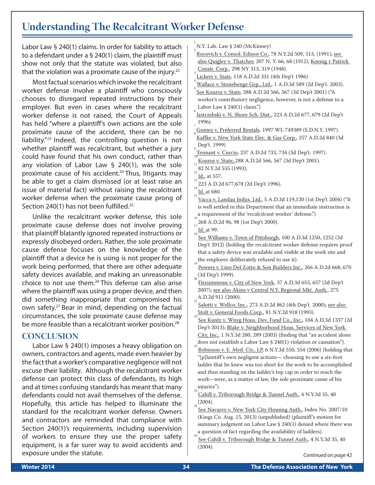# **Understanding The Recalcitrant Worker Defense**

Labor Law § 240(1) claims. In order for liability to attach to a defendant under a § 240(1) claim, the plaintiff must show not only that the statute was violated, but also that the violation was a proximate cause of the injury.<sup>22</sup>

Most factual scenarios which invoke the recalcitrant worker defense involve a plaintiff who consciously chooses to disregard repeated instructions by their employer. But even in cases where the recalcitrant worker defense is not raised, the Court of Appeals has held "where a plaintiff's own actions are the sole proximate cause of the accident, there can be no liability."23 Indeed, the controlling question is not whether plaintiff was recalcitrant, but whether a jury could have found that his own conduct, rather than any violation of Labor Law § 240(1), was the sole proximate cause of his accident.24 Thus, litigants may be able to get a claim dismissed (or at least raise an issue of material fact) without raising the recalcitrant worker defense when the proximate cause prong of Section 240(1) has not been fulfilled.<sup>25</sup>

Unlike the recalcitrant worker defense, this sole proximate cause defense does not involve proving that plaintiff blatantly ignored repeated instructions or expressly disobeyed orders. Rather, the sole proximate cause defense focuses on the knowledge of the plaintiff that a device he is using is not proper for the work being performed, that there are other adequate safety devices available, and making an unreasonable choice to not use them.26 This defense can also arise where the plaintiff was using a proper device, and then did something inappropriate that compromised his own safety.27 Bear in mind, depending on the factual circumstances, the sole proximate cause defense may be more feasible than a recalcitrant worker position.<sup>28</sup>

#### **CONCLUSION**

Labor Law § 240(1) imposes a heavy obligation on owners, contractors and agents, made even heavier by the fact that a worker's comparative negligence will not excuse their liability. Although the recalcitrant worker defense can protect this class of defendants, its high and at times confusing standards has meant that many defendants could not avail themselves of the defense. Hopefully, this article has helped to illuminate the standard for the recalcitrant worker defense. Owners and contractors are reminded that compliance with Section 240(1)'s requirements, including supervision of workers to ensure they use the proper safety equipment, is a far surer way to avoid accidents and exposure under the statute.

1 N.Y. Lab. Law § 240 (McKinney)

- Rocovich v. Consol. Edison Co., 78 N.Y.2d 509, 513, (1991); see also Quigley v. Thatcher, 207 N. Y. 66, 68 (1912); Koenig v Patrick Constr. Corp., 298 NY 313, 319 (1948).
- Lickers v. State, <sup>118</sup> A.D.2d <sup>331</sup> (4th Dep't 1986) <sup>4</sup>
- Wallace v. Stonehenge Grp., Ltd., 1 A.D.3d 589 (2d Dep't. 2003). See Kouros v. State, 288 A.D.2d 566, 567 (3d Dep't 2001) ("A worker's contributory negligence, however, is not a defense to a Labor Law  $$ 240(1)$  claim.")
- Jastrzebski v. N. Shore Sch. Dist., 223 A.D.2d 677, 679 (2d Dep't 1996).
- Gomez v. Preferred Rentals, <sup>1997</sup> WL <sup>749389</sup> (S.D.N.Y. 1997). <sup>8</sup> Kaffke v. New York State Elec. & Gas Corp., 257 A.D.2d 840 (3d

 $\frac{1}{11}$ Kouros v. State, 288 A.D.2d 566, 567 (3d Dep't 2001).

 $\frac{1}{12}$ 82 N.Y.2d 555 (1993),

223 A.D.2d 677,678 (2d Dep't 1996).

Id. at 680.

Vacca v. Landau Indus. Ltd., 5 A.D.3d 119,120 (1st Dep't 2004) ("It is well settled in this Department that an immediate instruction is a requirement of the 'recalcitrant worker' defense.")

268 A.D.2d 96, 98 (1st Dep't 2000).

- See Williams v. Town of Pittsburgh, 100 A.D.3d 1250, 1252 (3d Dep't 2012) (holding the recalcitrant worker defense requires proof that a safety device was available and visible at the work site and the employee deliberately refused to use it).
- Powers v. Lino Del Zotto & Son Builders Inc., 266 A.D.2d 668, 670  $_{20}$ (3d Dep't 1999).
- Fitzsimmons v. City of New York, 37 A.D.3d 655, 657 (2d Dep't 2007); see also Akins v Central N.Y. Regional Mkt. Auth., 275  $A.D.2d 911 (2000).$

Salotti v. Wellco, Inc., 273 A.D.2d 862 (4th Dep't. 2000); see also  $\frac{1}{2}$ Stolt v. General Foods Corp., 81 N.Y.2d 918 (1993).

- See Kuntz v. Wnyg Hous. Dev. Fund Co., Inc., 104 A.D.3d 1337 (2d) Dep't 2013); Blake v. Neighborhood Hous. Services of New York City, Inc., 1 N.Y.3d 280, 289 (2003) (finding that "an accident alone does not establish a Labor Law  $\frac{6}{240(1)}$  violation or causation").
- Robinson v. E. Med. Ctr., LP, 6 N.Y.3d 550, 554 (2006) (holding that "[p]laintiff's own negligent actions— choosing to use a six-foot ladder that he knew was too short for the work to be accomplished and then standing on the ladder's top cap in order to reach the work—were, as a matter of law, the sole proximate cause of his injuries").

Cahill v. Triborough Bridge & Tunnel Auth., 4 N.Y.3d 35, 40  $(2004).$ 

- See Navarro v. New York City Housing Auth., Index No. 2007/10 (Kings Co. Aug. 15, 2013) (unpublished) (plaintiff's motion for summary judgment on Labor Law § 240(1) denied where there was a question of fact regarding the availability of ladders).
- See Cahill v. Triborough Bridge & Tunnel Auth., 4 N.Y.3d 35, 40 (2004).

*Continued on page 42*

Dep't. 1999)<br>Tennant v. Curcio, 237 A.D.2d 733, 734 (3d Dep't. 1997). <u>Tennant v. Curcio</u>, 237 A.D.2d 733, 734 (3d Dep't. 1997).

Id., at 557.

 $\int_{18} \underline{\text{Id.}}$  at 99.